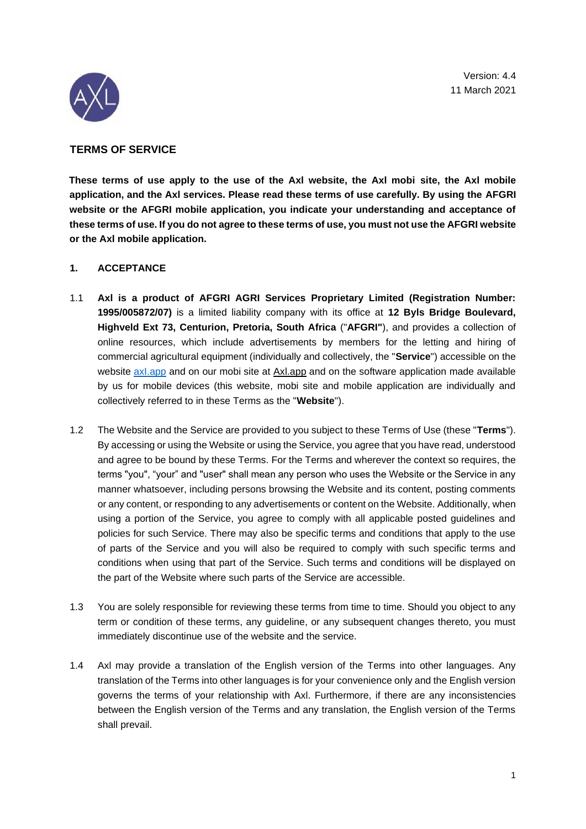Version: 4.4 11 March 2021



# **TERMS OF SERVICE**

**These terms of use apply to the use of the Axl website, the Axl mobi site, the Axl mobile application, and the Axl services. Please read these terms of use carefully. By using the AFGRI website or the AFGRI mobile application, you indicate your understanding and acceptance of these terms of use. If you do not agree to these terms of use, you must not use the AFGRI website or the Axl mobile application.** 

# **1. ACCEPTANCE**

- 1.1 **Axl is a product of AFGRI AGRI Services Proprietary Limited (Registration Number: 1995/005872/07)** is a limited liability company with its office at **12 Byls Bridge Boulevard, Highveld Ext 73, Centurion, Pretoria, South Africa** ("**AFGRI"**), and provides a collection of online resources, which include advertisements by members for the letting and hiring of commercial agricultural equipment (individually and collectively, the "**Service**") accessible on the website [a](http://www.axi.app/)xl.app and on our mobi site at Axl.app and on the software application made available by us for mobile devices (this website, mobi site and mobile application are individually and collectively referred to in these Terms as the "**Website**").
- 1.2 The Website and the Service are provided to you subject to these Terms of Use (these "**Terms**"). By accessing or using the Website or using the Service, you agree that you have read, understood and agree to be bound by these Terms. For the Terms and wherever the context so requires, the terms "you", "your" and "user" shall mean any person who uses the Website or the Service in any manner whatsoever, including persons browsing the Website and its content, posting comments or any content, or responding to any advertisements or content on the Website. Additionally, when using a portion of the Service, you agree to comply with all applicable posted guidelines and policies for such Service. There may also be specific terms and conditions that apply to the use of parts of the Service and you will also be required to comply with such specific terms and conditions when using that part of the Service. Such terms and conditions will be displayed on the part of the Website where such parts of the Service are accessible.
- 1.3 You are solely responsible for reviewing these terms from time to time. Should you object to any term or condition of these terms, any guideline, or any subsequent changes thereto, you must immediately discontinue use of the website and the service.
- 1.4 Axl may provide a translation of the English version of the Terms into other languages. Any translation of the Terms into other languages is for your convenience only and the English version governs the terms of your relationship with Axl. Furthermore, if there are any inconsistencies between the English version of the Terms and any translation, the English version of the Terms shall prevail.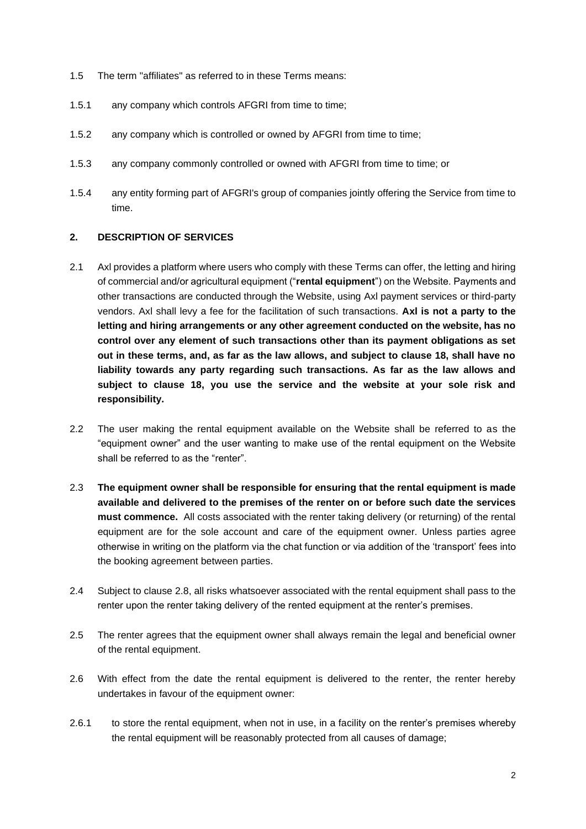- 1.5 The term "affiliates" as referred to in these Terms means:
- 1.5.1 any company which controls AFGRI from time to time;
- 1.5.2 any company which is controlled or owned by AFGRI from time to time;
- 1.5.3 any company commonly controlled or owned with AFGRI from time to time; or
- 1.5.4 any entity forming part of AFGRI's group of companies jointly offering the Service from time to time.

### **2. DESCRIPTION OF SERVICES**

- 2.1 Axl provides a platform where users who comply with these Terms can offer, the letting and hiring of commercial and/or agricultural equipment ("**rental equipment**") on the Website. Payments and other transactions are conducted through the Website, using Axl payment services or third-party vendors. Axl shall levy a fee for the facilitation of such transactions. **Axl is not a party to the letting and hiring arrangements or any other agreement conducted on the website, has no control over any element of such transactions other than its payment obligations as set out in these terms, and, as far as the law allows, and subject to clause 18, shall have no liability towards any party regarding such transactions. As far as the law allows and subject to clause 18, you use the service and the website at your sole risk and responsibility.**
- 2.2 The user making the rental equipment available on the Website shall be referred to as the "equipment owner" and the user wanting to make use of the rental equipment on the Website shall be referred to as the "renter".
- 2.3 **The equipment owner shall be responsible for ensuring that the rental equipment is made available and delivered to the premises of the renter on or before such date the services must commence.** All costs associated with the renter taking delivery (or returning) of the rental equipment are for the sole account and care of the equipment owner. Unless parties agree otherwise in writing on the platform via the chat function or via addition of the 'transport' fees into the booking agreement between parties.
- 2.4 Subject to clause 2.8, all risks whatsoever associated with the rental equipment shall pass to the renter upon the renter taking delivery of the rented equipment at the renter's premises.
- 2.5 The renter agrees that the equipment owner shall always remain the legal and beneficial owner of the rental equipment.
- 2.6 With effect from the date the rental equipment is delivered to the renter, the renter hereby undertakes in favour of the equipment owner:
- 2.6.1 to store the rental equipment, when not in use, in a facility on the renter's premises whereby the rental equipment will be reasonably protected from all causes of damage;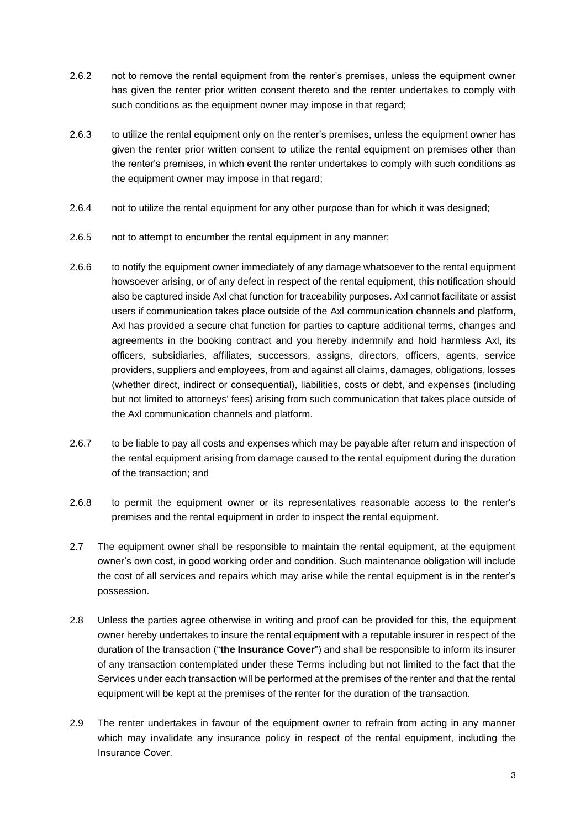- 2.6.2 not to remove the rental equipment from the renter's premises, unless the equipment owner has given the renter prior written consent thereto and the renter undertakes to comply with such conditions as the equipment owner may impose in that regard;
- 2.6.3 to utilize the rental equipment only on the renter's premises, unless the equipment owner has given the renter prior written consent to utilize the rental equipment on premises other than the renter's premises, in which event the renter undertakes to comply with such conditions as the equipment owner may impose in that regard;
- 2.6.4 not to utilize the rental equipment for any other purpose than for which it was designed;
- 2.6.5 not to attempt to encumber the rental equipment in any manner;
- 2.6.6 to notify the equipment owner immediately of any damage whatsoever to the rental equipment howsoever arising, or of any defect in respect of the rental equipment, this notification should also be captured inside Axl chat function for traceability purposes. Axl cannot facilitate or assist users if communication takes place outside of the Axl communication channels and platform, Axl has provided a secure chat function for parties to capture additional terms, changes and agreements in the booking contract and you hereby indemnify and hold harmless Axl, its officers, subsidiaries, affiliates, successors, assigns, directors, officers, agents, service providers, suppliers and employees, from and against all claims, damages, obligations, losses (whether direct, indirect or consequential), liabilities, costs or debt, and expenses (including but not limited to attorneys' fees) arising from such communication that takes place outside of the Axl communication channels and platform.
- 2.6.7 to be liable to pay all costs and expenses which may be payable after return and inspection of the rental equipment arising from damage caused to the rental equipment during the duration of the transaction; and
- 2.6.8 to permit the equipment owner or its representatives reasonable access to the renter's premises and the rental equipment in order to inspect the rental equipment.
- 2.7 The equipment owner shall be responsible to maintain the rental equipment, at the equipment owner's own cost, in good working order and condition. Such maintenance obligation will include the cost of all services and repairs which may arise while the rental equipment is in the renter's possession.
- 2.8 Unless the parties agree otherwise in writing and proof can be provided for this, the equipment owner hereby undertakes to insure the rental equipment with a reputable insurer in respect of the duration of the transaction ("**the Insurance Cover**") and shall be responsible to inform its insurer of any transaction contemplated under these Terms including but not limited to the fact that the Services under each transaction will be performed at the premises of the renter and that the rental equipment will be kept at the premises of the renter for the duration of the transaction.
- 2.9 The renter undertakes in favour of the equipment owner to refrain from acting in any manner which may invalidate any insurance policy in respect of the rental equipment, including the Insurance Cover.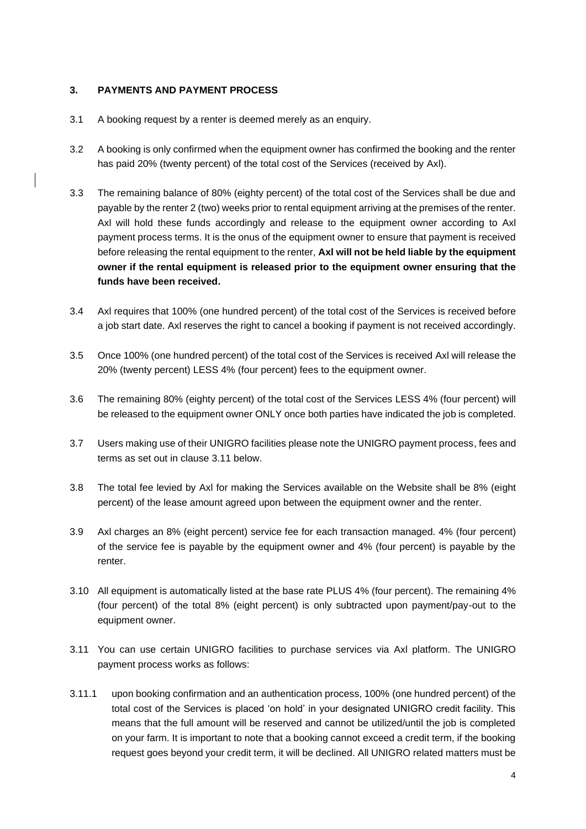### **3. PAYMENTS AND PAYMENT PROCESS**

- 3.1 A booking request by a renter is deemed merely as an enquiry.
- 3.2 A booking is only confirmed when the equipment owner has confirmed the booking and the renter has paid 20% (twenty percent) of the total cost of the Services (received by Axl).
- 3.3 The remaining balance of 80% (eighty percent) of the total cost of the Services shall be due and payable by the renter 2 (two) weeks prior to rental equipment arriving at the premises of the renter. Axl will hold these funds accordingly and release to the equipment owner according to Axl payment process terms. It is the onus of the equipment owner to ensure that payment is received before releasing the rental equipment to the renter, **Axl will not be held liable by the equipment owner if the rental equipment is released prior to the equipment owner ensuring that the funds have been received.**
- 3.4 Axl requires that 100% (one hundred percent) of the total cost of the Services is received before a job start date. Axl reserves the right to cancel a booking if payment is not received accordingly.
- 3.5 Once 100% (one hundred percent) of the total cost of the Services is received Axl will release the 20% (twenty percent) LESS 4% (four percent) fees to the equipment owner.
- 3.6 The remaining 80% (eighty percent) of the total cost of the Services LESS 4% (four percent) will be released to the equipment owner ONLY once both parties have indicated the job is completed.
- 3.7 Users making use of their UNIGRO facilities please note the UNIGRO payment process, fees and terms as set out in clause 3.11 below.
- 3.8 The total fee levied by Axl for making the Services available on the Website shall be 8% (eight percent) of the lease amount agreed upon between the equipment owner and the renter.
- 3.9 Axl charges an 8% (eight percent) service fee for each transaction managed. 4% (four percent) of the service fee is payable by the equipment owner and 4% (four percent) is payable by the renter.
- 3.10 All equipment is automatically listed at the base rate PLUS 4% (four percent). The remaining 4% (four percent) of the total 8% (eight percent) is only subtracted upon payment/pay-out to the equipment owner.
- 3.11 You can use certain UNIGRO facilities to purchase services via Axl platform. The UNIGRO payment process works as follows:
- 3.11.1 upon booking confirmation and an authentication process, 100% (one hundred percent) of the total cost of the Services is placed 'on hold' in your designated UNIGRO credit facility. This means that the full amount will be reserved and cannot be utilized/until the job is completed on your farm. It is important to note that a booking cannot exceed a credit term, if the booking request goes beyond your credit term, it will be declined. All UNIGRO related matters must be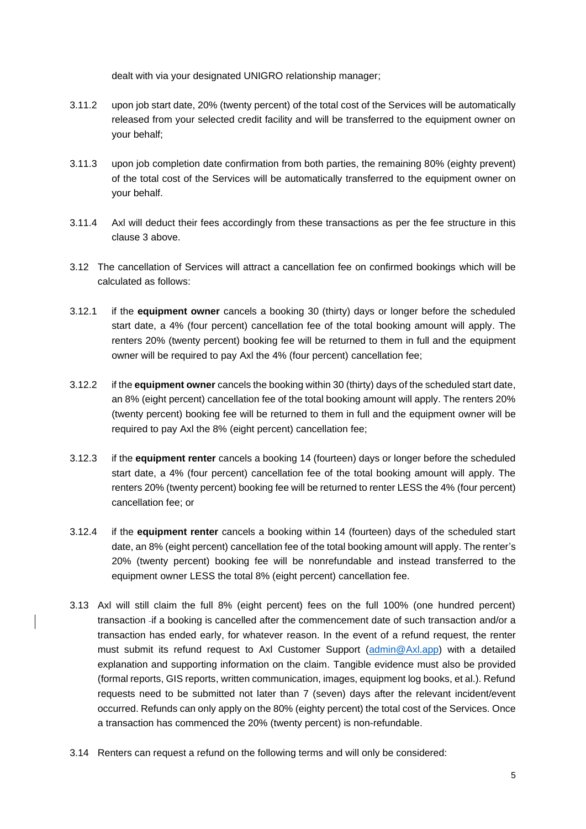dealt with via your designated UNIGRO relationship manager;

- 3.11.2 upon job start date, 20% (twenty percent) of the total cost of the Services will be automatically released from your selected credit facility and will be transferred to the equipment owner on your behalf;
- 3.11.3 upon job completion date confirmation from both parties, the remaining 80% (eighty prevent) of the total cost of the Services will be automatically transferred to the equipment owner on your behalf.
- 3.11.4 Axl will deduct their fees accordingly from these transactions as per the fee structure in this clause 3 above.
- 3.12 The cancellation of Services will attract a cancellation fee on confirmed bookings which will be calculated as follows:
- 3.12.1 if the **equipment owner** cancels a booking 30 (thirty) days or longer before the scheduled start date, a 4% (four percent) cancellation fee of the total booking amount will apply. The renters 20% (twenty percent) booking fee will be returned to them in full and the equipment owner will be required to pay Axl the 4% (four percent) cancellation fee;
- 3.12.2 if the **equipment owner** cancels the booking within 30 (thirty) days of the scheduled start date, an 8% (eight percent) cancellation fee of the total booking amount will apply. The renters 20% (twenty percent) booking fee will be returned to them in full and the equipment owner will be required to pay Axl the 8% (eight percent) cancellation fee;
- 3.12.3 if the **equipment renter** cancels a booking 14 (fourteen) days or longer before the scheduled start date, a 4% (four percent) cancellation fee of the total booking amount will apply. The renters 20% (twenty percent) booking fee will be returned to renter LESS the 4% (four percent) cancellation fee; or
- 3.12.4 if the **equipment renter** cancels a booking within 14 (fourteen) days of the scheduled start date, an 8% (eight percent) cancellation fee of the total booking amount will apply. The renter's 20% (twenty percent) booking fee will be nonrefundable and instead transferred to the equipment owner LESS the total 8% (eight percent) cancellation fee.
- 3.13 Axl will still claim the full 8% (eight percent) fees on the full 100% (one hundred percent) transaction if a booking is cancelled after the commencement date of such transaction and/or a transaction has ended early, for whatever reason. In the event of a refund request, the renter must submit its refund request to Axl Customer Support [\(admin@Axl.app\)](mailto:admin@axl.app) with a detailed explanation and supporting information on the claim. Tangible evidence must also be provided (formal reports, GIS reports, written communication, images, equipment log books, et al.). Refund requests need to be submitted not later than 7 (seven) days after the relevant incident/event occurred. Refunds can only apply on the 80% (eighty percent) the total cost of the Services. Once a transaction has commenced the 20% (twenty percent) is non-refundable.
- 3.14 Renters can request a refund on the following terms and will only be considered: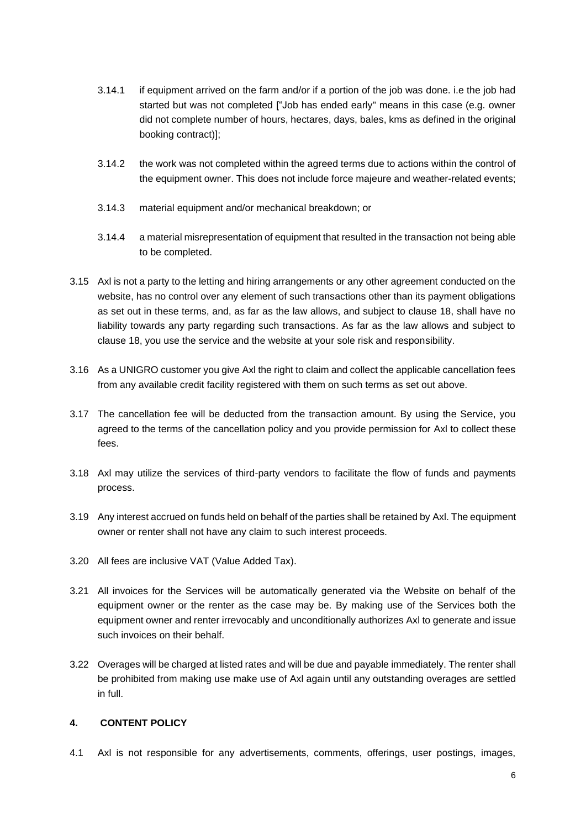- 3.14.1 if equipment arrived on the farm and/or if a portion of the job was done. i.e the job had started but was not completed ["Job has ended early" means in this case (e.g. owner did not complete number of hours, hectares, days, bales, kms as defined in the original booking contract)];
- 3.14.2 the work was not completed within the agreed terms due to actions within the control of the equipment owner. This does not include force majeure and weather-related events;
- 3.14.3 material equipment and/or mechanical breakdown; or
- 3.14.4 a material misrepresentation of equipment that resulted in the transaction not being able to be completed.
- 3.15 Axl is not a party to the letting and hiring arrangements or any other agreement conducted on the website, has no control over any element of such transactions other than its payment obligations as set out in these terms, and, as far as the law allows, and subject to clause 18, shall have no liability towards any party regarding such transactions. As far as the law allows and subject to clause 18, you use the service and the website at your sole risk and responsibility.
- 3.16 As a UNIGRO customer you give Axl the right to claim and collect the applicable cancellation fees from any available credit facility registered with them on such terms as set out above.
- 3.17 The cancellation fee will be deducted from the transaction amount. By using the Service, you agreed to the terms of the cancellation policy and you provide permission for Axl to collect these fees.
- 3.18 Axl may utilize the services of third-party vendors to facilitate the flow of funds and payments process.
- 3.19 Any interest accrued on funds held on behalf of the parties shall be retained by Axl. The equipment owner or renter shall not have any claim to such interest proceeds.
- 3.20 All fees are inclusive VAT (Value Added Tax).
- 3.21 All invoices for the Services will be automatically generated via the Website on behalf of the equipment owner or the renter as the case may be. By making use of the Services both the equipment owner and renter irrevocably and unconditionally authorizes Axl to generate and issue such invoices on their behalf.
- 3.22 Overages will be charged at listed rates and will be due and payable immediately. The renter shall be prohibited from making use make use of Axl again until any outstanding overages are settled in full.

# **4. CONTENT POLICY**

4.1 Axl is not responsible for any advertisements, comments, offerings, user postings, images,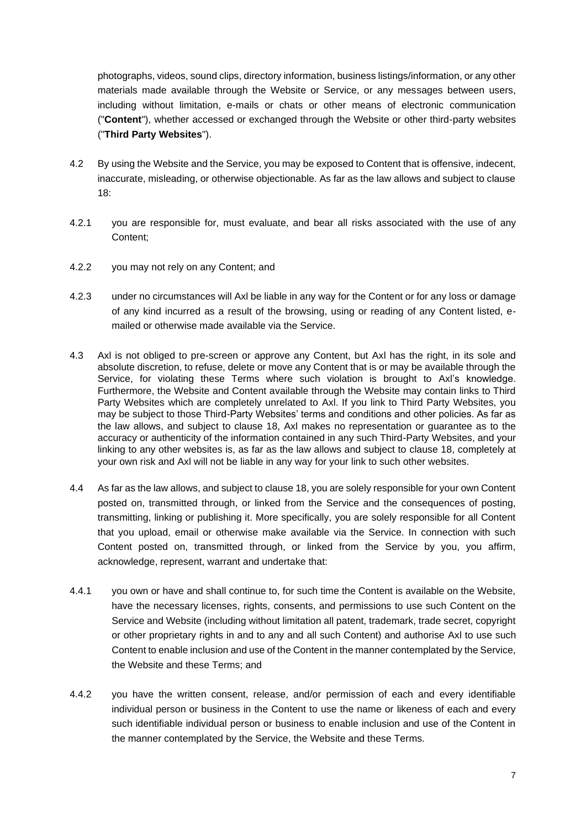photographs, videos, sound clips, directory information, business listings/information, or any other materials made available through the Website or Service, or any messages between users, including without limitation, e-mails or chats or other means of electronic communication ("**Content**"), whether accessed or exchanged through the Website or other third-party websites ("**Third Party Websites**").

- 4.2 By using the Website and the Service, you may be exposed to Content that is offensive, indecent, inaccurate, misleading, or otherwise objectionable. As far as the law allows and subject to clause 18:
- 4.2.1 you are responsible for, must evaluate, and bear all risks associated with the use of any Content;
- 4.2.2 you may not rely on any Content; and
- 4.2.3 under no circumstances will Axl be liable in any way for the Content or for any loss or damage of any kind incurred as a result of the browsing, using or reading of any Content listed, emailed or otherwise made available via the Service.
- 4.3 Axl is not obliged to pre-screen or approve any Content, but Axl has the right, in its sole and absolute discretion, to refuse, delete or move any Content that is or may be available through the Service, for violating these Terms where such violation is brought to Axl's knowledge. Furthermore, the Website and Content available through the Website may contain links to Third Party Websites which are completely unrelated to Axl. If you link to Third Party Websites, you may be subject to those Third-Party Websites' terms and conditions and other policies. As far as the law allows, and subject to clause 18, Axl makes no representation or guarantee as to the accuracy or authenticity of the information contained in any such Third-Party Websites, and your linking to any other websites is, as far as the law allows and subject to clause 18, completely at your own risk and Axl will not be liable in any way for your link to such other websites.
- 4.4 As far as the law allows, and subject to clause 18, you are solely responsible for your own Content posted on, transmitted through, or linked from the Service and the consequences of posting, transmitting, linking or publishing it. More specifically, you are solely responsible for all Content that you upload, email or otherwise make available via the Service. In connection with such Content posted on, transmitted through, or linked from the Service by you, you affirm, acknowledge, represent, warrant and undertake that:
- 4.4.1 you own or have and shall continue to, for such time the Content is available on the Website, have the necessary licenses, rights, consents, and permissions to use such Content on the Service and Website (including without limitation all patent, trademark, trade secret, copyright or other proprietary rights in and to any and all such Content) and authorise Axl to use such Content to enable inclusion and use of the Content in the manner contemplated by the Service, the Website and these Terms; and
- 4.4.2 you have the written consent, release, and/or permission of each and every identifiable individual person or business in the Content to use the name or likeness of each and every such identifiable individual person or business to enable inclusion and use of the Content in the manner contemplated by the Service, the Website and these Terms.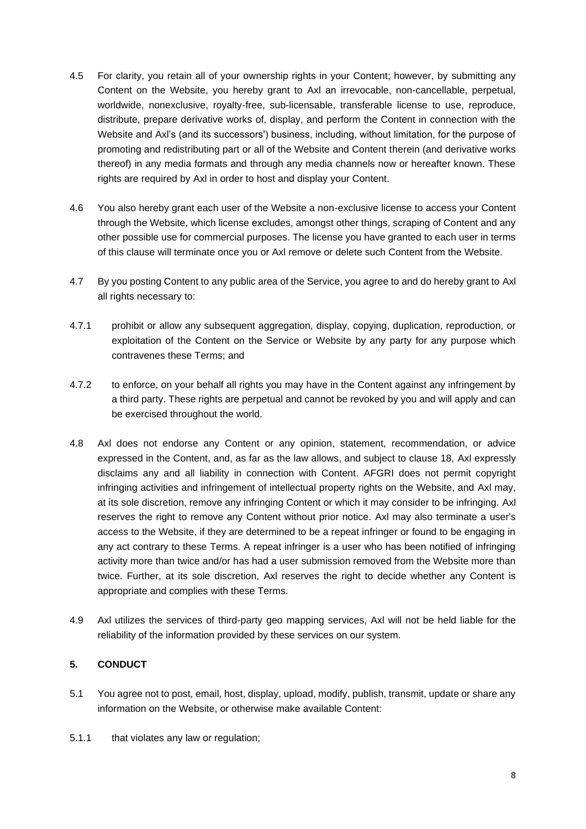- 4.5 For clarity, you retain all of your ownership rights in your Content; however, by submitting any Content on the Website, you hereby grant to Axl an irrevocable, non-cancellable, perpetual, worldwide, nonexclusive, royalty-free, sub-licensable, transferable license to use, reproduce, distribute, prepare derivative works of, display, and perform the Content in connection with the Website and Axl's (and its successors') business, including, without limitation, for the purpose of promoting and redistributing part or all of the Website and Content therein (and derivative works thereof) in any media formats and through any media channels now or hereafter known. These rights are required by Axl in order to host and display your Content.
- 4.6 You also hereby grant each user of the Website a non-exclusive license to access your Content through the Website, which license excludes, amongst other things, scraping of Content and any other possible use for commercial purposes. The license you have granted to each user in terms of this clause will terminate once you or Axl remove or delete such Content from the Website.
- 4.7 By you posting Content to any public area of the Service, you agree to and do hereby grant to Axl all rights necessary to:
- 4.7.1 prohibit or allow any subsequent aggregation, display, copying, duplication, reproduction, or exploitation of the Content on the Service or Website by any party for any purpose which contravenes these Terms; and
- 4.7.2 to enforce, on your behalf all rights you may have in the Content against any infringement by a third party. These rights are perpetual and cannot be revoked by you and will apply and can be exercised throughout the world.
- 4.8 Axl does not endorse any Content or any opinion, statement, recommendation, or advice expressed in the Content, and, as far as the law allows, and subject to clause 18, Axl expressly disclaims any and all liability in connection with Content. AFGRI does not permit copyright infringing activities and infringement of intellectual property rights on the Website, and Axl may, at its sole discretion, remove any infringing Content or which it may consider to be infringing. Axl reserves the right to remove any Content without prior notice. Axl may also terminate a user's access to the Website, if they are determined to be a repeat infringer or found to be engaging in any act contrary to these Terms. A repeat infringer is a user who has been notified of infringing activity more than twice and/or has had a user submission removed from the Website more than twice. Further, at its sole discretion, Axl reserves the right to decide whether any Content is appropriate and complies with these Terms.
- 4.9 Axl utilizes the services of third-party geo mapping services, Axl will not be held liable for the reliability of the information provided by these services on our system.

# **5. CONDUCT**

- 5.1 You agree not to post, email, host, display, upload, modify, publish, transmit, update or share any information on the Website, or otherwise make available Content:
- 5.1.1 that violates any law or regulation;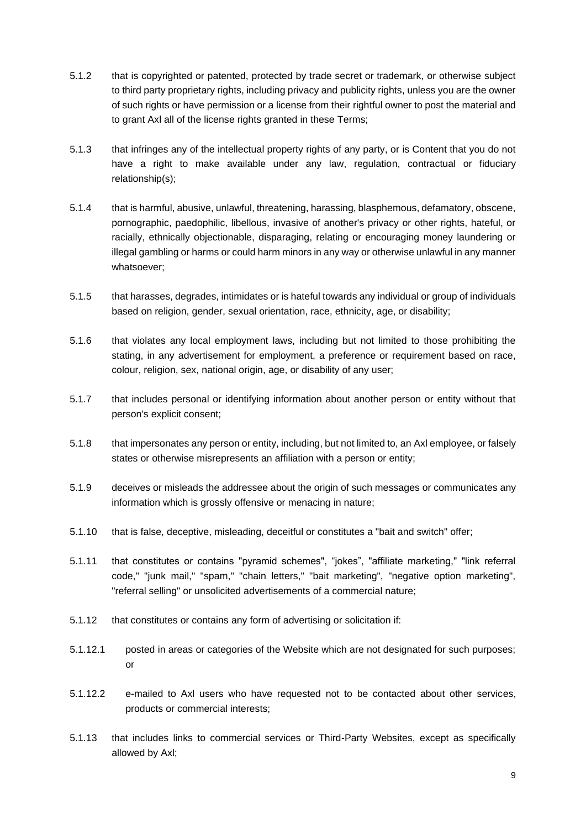- 5.1.2 that is copyrighted or patented, protected by trade secret or trademark, or otherwise subject to third party proprietary rights, including privacy and publicity rights, unless you are the owner of such rights or have permission or a license from their rightful owner to post the material and to grant Axl all of the license rights granted in these Terms;
- 5.1.3 that infringes any of the intellectual property rights of any party, or is Content that you do not have a right to make available under any law, regulation, contractual or fiduciary relationship(s);
- 5.1.4 that is harmful, abusive, unlawful, threatening, harassing, blasphemous, defamatory, obscene, pornographic, paedophilic, libellous, invasive of another's privacy or other rights, hateful, or racially, ethnically objectionable, disparaging, relating or encouraging money laundering or illegal gambling or harms or could harm minors in any way or otherwise unlawful in any manner whatsoever;
- 5.1.5 that harasses, degrades, intimidates or is hateful towards any individual or group of individuals based on religion, gender, sexual orientation, race, ethnicity, age, or disability;
- 5.1.6 that violates any local employment laws, including but not limited to those prohibiting the stating, in any advertisement for employment, a preference or requirement based on race, colour, religion, sex, national origin, age, or disability of any user;
- 5.1.7 that includes personal or identifying information about another person or entity without that person's explicit consent;
- 5.1.8 that impersonates any person or entity, including, but not limited to, an Axl employee, or falsely states or otherwise misrepresents an affiliation with a person or entity;
- 5.1.9 deceives or misleads the addressee about the origin of such messages or communicates any information which is grossly offensive or menacing in nature;
- 5.1.10 that is false, deceptive, misleading, deceitful or constitutes a "bait and switch" offer;
- 5.1.11 that constitutes or contains "pyramid schemes", "jokes", "affiliate marketing," "link referral code," "junk mail," "spam," "chain letters," "bait marketing", "negative option marketing", "referral selling" or unsolicited advertisements of a commercial nature;
- 5.1.12 that constitutes or contains any form of advertising or solicitation if:
- 5.1.12.1 posted in areas or categories of the Website which are not designated for such purposes; or
- 5.1.12.2 e-mailed to Axl users who have requested not to be contacted about other services, products or commercial interests;
- 5.1.13 that includes links to commercial services or Third-Party Websites, except as specifically allowed by Axl;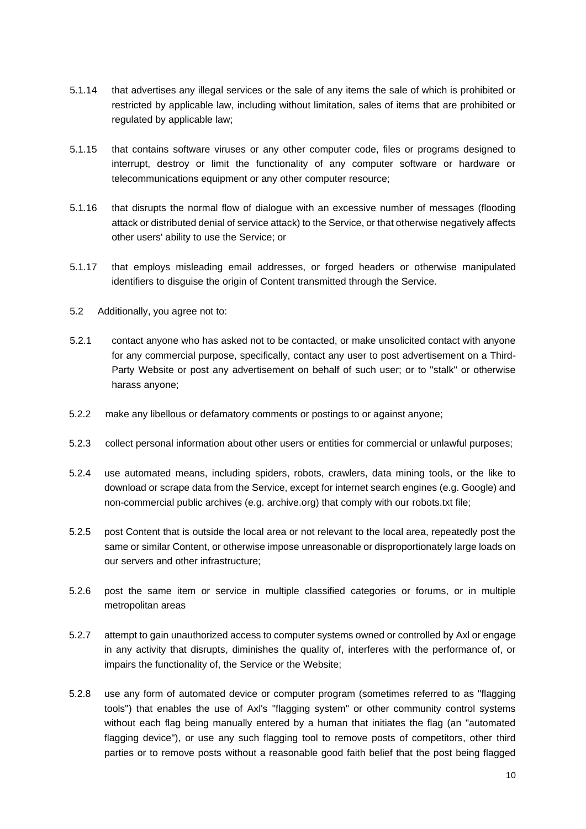- 5.1.14 that advertises any illegal services or the sale of any items the sale of which is prohibited or restricted by applicable law, including without limitation, sales of items that are prohibited or regulated by applicable law;
- 5.1.15 that contains software viruses or any other computer code, files or programs designed to interrupt, destroy or limit the functionality of any computer software or hardware or telecommunications equipment or any other computer resource;
- 5.1.16 that disrupts the normal flow of dialogue with an excessive number of messages (flooding attack or distributed denial of service attack) to the Service, or that otherwise negatively affects other users' ability to use the Service; or
- 5.1.17 that employs misleading email addresses, or forged headers or otherwise manipulated identifiers to disguise the origin of Content transmitted through the Service.
- 5.2 Additionally, you agree not to:
- 5.2.1 contact anyone who has asked not to be contacted, or make unsolicited contact with anyone for any commercial purpose, specifically, contact any user to post advertisement on a Third-Party Website or post any advertisement on behalf of such user; or to "stalk" or otherwise harass anyone;
- 5.2.2 make any libellous or defamatory comments or postings to or against anyone;
- 5.2.3 collect personal information about other users or entities for commercial or unlawful purposes;
- 5.2.4 use automated means, including spiders, robots, crawlers, data mining tools, or the like to download or scrape data from the Service, except for internet search engines (e.g. Google) and non-commercial public archives (e.g. archive.org) that comply with our robots.txt file;
- 5.2.5 post Content that is outside the local area or not relevant to the local area, repeatedly post the same or similar Content, or otherwise impose unreasonable or disproportionately large loads on our servers and other infrastructure;
- 5.2.6 post the same item or service in multiple classified categories or forums, or in multiple metropolitan areas
- 5.2.7 attempt to gain unauthorized access to computer systems owned or controlled by Axl or engage in any activity that disrupts, diminishes the quality of, interferes with the performance of, or impairs the functionality of, the Service or the Website;
- 5.2.8 use any form of automated device or computer program (sometimes referred to as "flagging tools") that enables the use of Axl's "flagging system" or other community control systems without each flag being manually entered by a human that initiates the flag (an "automated flagging device"), or use any such flagging tool to remove posts of competitors, other third parties or to remove posts without a reasonable good faith belief that the post being flagged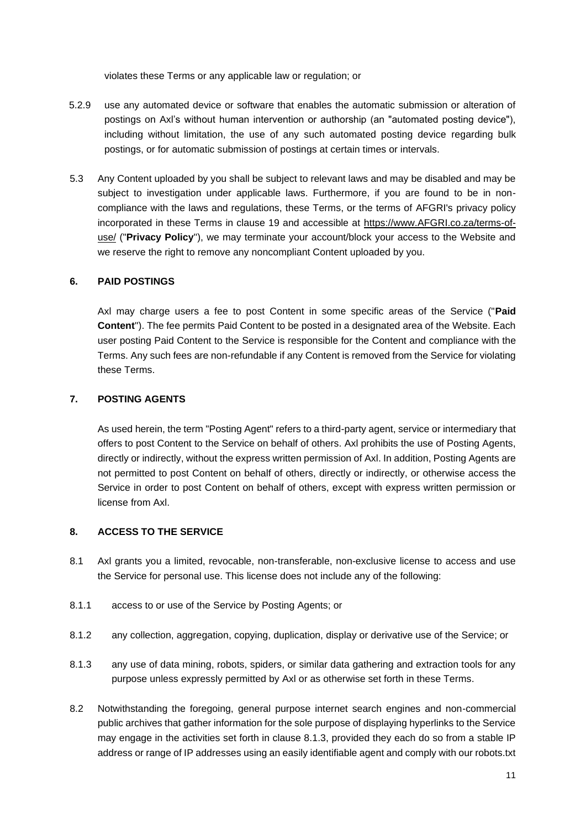violates these Terms or any applicable law or regulation; or

- 5.2.9 use any automated device or software that enables the automatic submission or alteration of postings on Axl's without human intervention or authorship (an "automated posting device"), including without limitation, the use of any such automated posting device regarding bulk postings, or for automatic submission of postings at certain times or intervals.
- 5.3 Any Content uploaded by you shall be subject to relevant laws and may be disabled and may be subject to investigation under applicable laws. Furthermore, if you are found to be in noncompliance with the laws and regulations, these Terms, or the terms of AFGRI's privacy policy incorporated in these Terms in clause 19 and accessible at [https://www.AFGRI.co.za/terms-of](https://www.afgri.co.za/terms-of-use/)[use/](https://www.afgri.co.za/terms-of-use/) [\(](https://www.afgri.co.za/terms-of-use/)"**Privacy Policy**"), we may terminate your account/block your access to the Website and we reserve the right to remove any noncompliant Content uploaded by you.

### **6. PAID POSTINGS**

Axl may charge users a fee to post Content in some specific areas of the Service ("**Paid Content**"). The fee permits Paid Content to be posted in a designated area of the Website. Each user posting Paid Content to the Service is responsible for the Content and compliance with the Terms. Any such fees are non-refundable if any Content is removed from the Service for violating these Terms.

### **7. POSTING AGENTS**

As used herein, the term "Posting Agent" refers to a third-party agent, service or intermediary that offers to post Content to the Service on behalf of others. Axl prohibits the use of Posting Agents, directly or indirectly, without the express written permission of Axl. In addition, Posting Agents are not permitted to post Content on behalf of others, directly or indirectly, or otherwise access the Service in order to post Content on behalf of others, except with express written permission or license from Axl.

#### **8. ACCESS TO THE SERVICE**

- 8.1 Axl grants you a limited, revocable, non-transferable, non-exclusive license to access and use the Service for personal use. This license does not include any of the following:
- 8.1.1 access to or use of the Service by Posting Agents; or
- 8.1.2 any collection, aggregation, copying, duplication, display or derivative use of the Service; or
- 8.1.3 any use of data mining, robots, spiders, or similar data gathering and extraction tools for any purpose unless expressly permitted by Axl or as otherwise set forth in these Terms.
- 8.2 Notwithstanding the foregoing, general purpose internet search engines and non-commercial public archives that gather information for the sole purpose of displaying hyperlinks to the Service may engage in the activities set forth in clause 8.1.3, provided they each do so from a stable IP address or range of IP addresses using an easily identifiable agent and comply with our robots.txt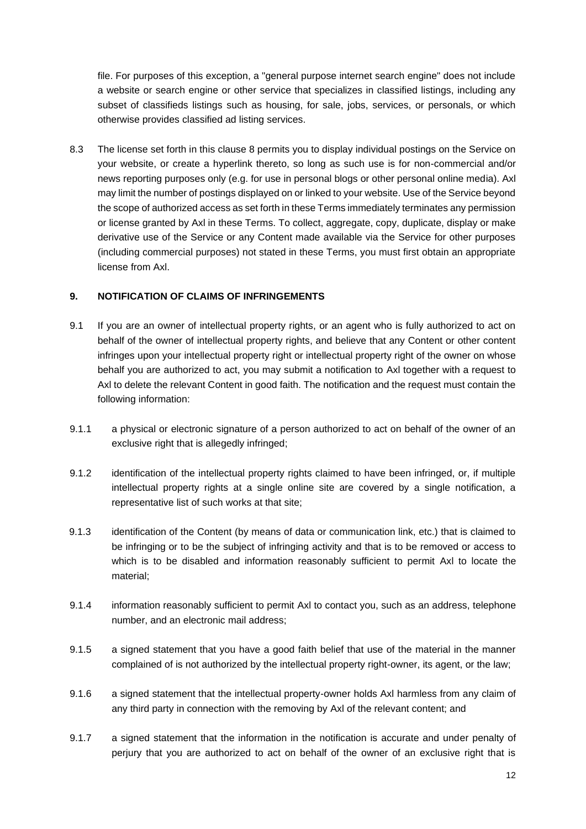file. For purposes of this exception, a "general purpose internet search engine" does not include a website or search engine or other service that specializes in classified listings, including any subset of classifieds listings such as housing, for sale, jobs, services, or personals, or which otherwise provides classified ad listing services.

8.3 The license set forth in this clause 8 permits you to display individual postings on the Service on your website, or create a hyperlink thereto, so long as such use is for non-commercial and/or news reporting purposes only (e.g. for use in personal blogs or other personal online media). Axl may limit the number of postings displayed on or linked to your website. Use of the Service beyond the scope of authorized access as set forth in these Terms immediately terminates any permission or license granted by Axl in these Terms. To collect, aggregate, copy, duplicate, display or make derivative use of the Service or any Content made available via the Service for other purposes (including commercial purposes) not stated in these Terms, you must first obtain an appropriate license from Axl.

### **9. NOTIFICATION OF CLAIMS OF INFRINGEMENTS**

- 9.1 If you are an owner of intellectual property rights, or an agent who is fully authorized to act on behalf of the owner of intellectual property rights, and believe that any Content or other content infringes upon your intellectual property right or intellectual property right of the owner on whose behalf you are authorized to act, you may submit a notification to Axl together with a request to Axl to delete the relevant Content in good faith. The notification and the request must contain the following information:
- 9.1.1 a physical or electronic signature of a person authorized to act on behalf of the owner of an exclusive right that is allegedly infringed;
- 9.1.2 identification of the intellectual property rights claimed to have been infringed, or, if multiple intellectual property rights at a single online site are covered by a single notification, a representative list of such works at that site;
- 9.1.3 identification of the Content (by means of data or communication link, etc.) that is claimed to be infringing or to be the subject of infringing activity and that is to be removed or access to which is to be disabled and information reasonably sufficient to permit Axl to locate the material;
- 9.1.4 information reasonably sufficient to permit Axl to contact you, such as an address, telephone number, and an electronic mail address;
- 9.1.5 a signed statement that you have a good faith belief that use of the material in the manner complained of is not authorized by the intellectual property right-owner, its agent, or the law;
- 9.1.6 a signed statement that the intellectual property-owner holds Axl harmless from any claim of any third party in connection with the removing by Axl of the relevant content; and
- 9.1.7 a signed statement that the information in the notification is accurate and under penalty of perjury that you are authorized to act on behalf of the owner of an exclusive right that is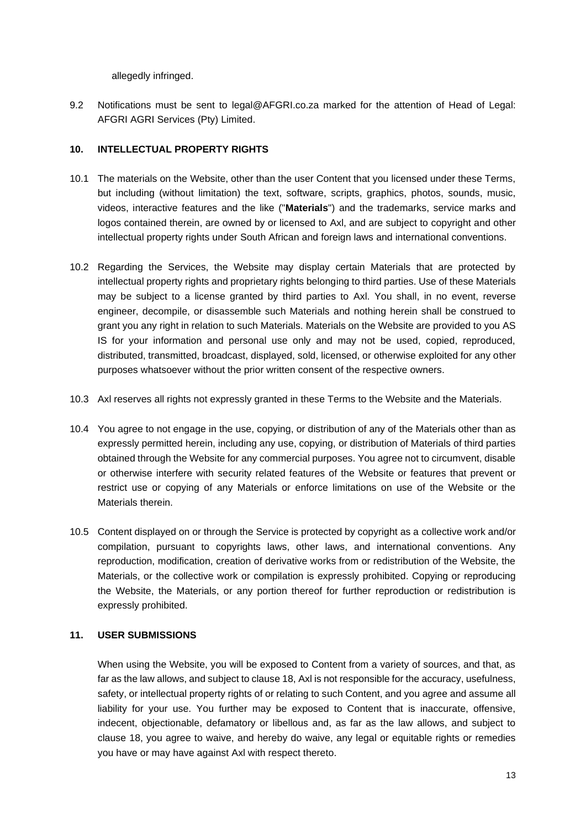allegedly infringed.

9.2 Notifications must be sent to legal@AFGRI.co.za marked for the attention of Head of Legal: AFGRI AGRI Services (Pty) Limited.

### **10. INTELLECTUAL PROPERTY RIGHTS**

- 10.1 The materials on the Website, other than the user Content that you licensed under these Terms, but including (without limitation) the text, software, scripts, graphics, photos, sounds, music, videos, interactive features and the like ("**Materials**") and the trademarks, service marks and logos contained therein, are owned by or licensed to Axl, and are subject to copyright and other intellectual property rights under South African and foreign laws and international conventions.
- 10.2 Regarding the Services, the Website may display certain Materials that are protected by intellectual property rights and proprietary rights belonging to third parties. Use of these Materials may be subject to a license granted by third parties to Axl. You shall, in no event, reverse engineer, decompile, or disassemble such Materials and nothing herein shall be construed to grant you any right in relation to such Materials. Materials on the Website are provided to you AS IS for your information and personal use only and may not be used, copied, reproduced, distributed, transmitted, broadcast, displayed, sold, licensed, or otherwise exploited for any other purposes whatsoever without the prior written consent of the respective owners.
- 10.3 Axl reserves all rights not expressly granted in these Terms to the Website and the Materials.
- 10.4 You agree to not engage in the use, copying, or distribution of any of the Materials other than as expressly permitted herein, including any use, copying, or distribution of Materials of third parties obtained through the Website for any commercial purposes. You agree not to circumvent, disable or otherwise interfere with security related features of the Website or features that prevent or restrict use or copying of any Materials or enforce limitations on use of the Website or the Materials therein.
- 10.5 Content displayed on or through the Service is protected by copyright as a collective work and/or compilation, pursuant to copyrights laws, other laws, and international conventions. Any reproduction, modification, creation of derivative works from or redistribution of the Website, the Materials, or the collective work or compilation is expressly prohibited. Copying or reproducing the Website, the Materials, or any portion thereof for further reproduction or redistribution is expressly prohibited.

#### **11. USER SUBMISSIONS**

When using the Website, you will be exposed to Content from a variety of sources, and that, as far as the law allows, and subject to clause 18, Axl is not responsible for the accuracy, usefulness, safety, or intellectual property rights of or relating to such Content, and you agree and assume all liability for your use. You further may be exposed to Content that is inaccurate, offensive, indecent, objectionable, defamatory or libellous and, as far as the law allows, and subject to clause 18, you agree to waive, and hereby do waive, any legal or equitable rights or remedies you have or may have against Axl with respect thereto.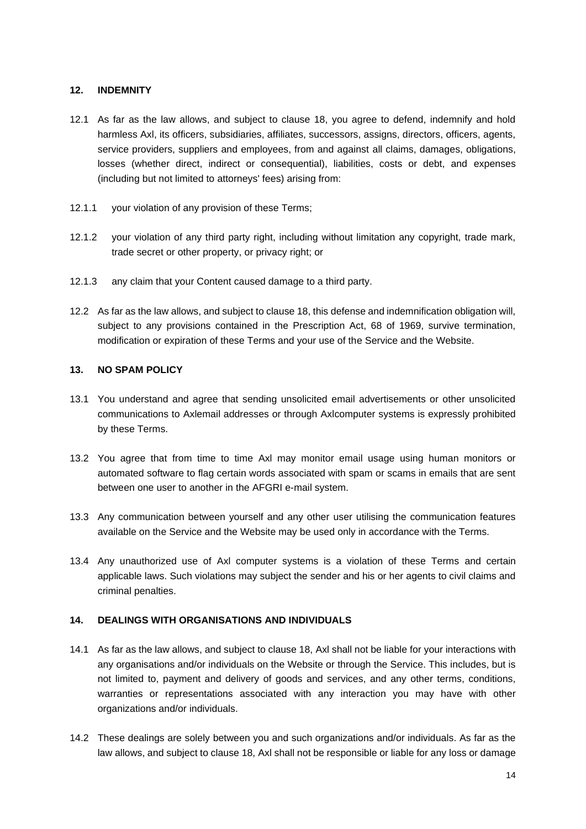### **12. INDEMNITY**

- 12.1 As far as the law allows, and subject to clause 18, you agree to defend, indemnify and hold harmless Axl, its officers, subsidiaries, affiliates, successors, assigns, directors, officers, agents, service providers, suppliers and employees, from and against all claims, damages, obligations, losses (whether direct, indirect or consequential), liabilities, costs or debt, and expenses (including but not limited to attorneys' fees) arising from:
- 12.1.1 your violation of any provision of these Terms;
- 12.1.2 your violation of any third party right, including without limitation any copyright, trade mark, trade secret or other property, or privacy right; or
- 12.1.3 any claim that your Content caused damage to a third party.
- 12.2 As far as the law allows, and subject to clause 18, this defense and indemnification obligation will, subject to any provisions contained in the Prescription Act, 68 of 1969, survive termination, modification or expiration of these Terms and your use of the Service and the Website.

### **13. NO SPAM POLICY**

- 13.1 You understand and agree that sending unsolicited email advertisements or other unsolicited communications to Axlemail addresses or through Axlcomputer systems is expressly prohibited by these Terms.
- 13.2 You agree that from time to time Axl may monitor email usage using human monitors or automated software to flag certain words associated with spam or scams in emails that are sent between one user to another in the AFGRI e-mail system.
- 13.3 Any communication between yourself and any other user utilising the communication features available on the Service and the Website may be used only in accordance with the Terms.
- 13.4 Any unauthorized use of Axl computer systems is a violation of these Terms and certain applicable laws. Such violations may subject the sender and his or her agents to civil claims and criminal penalties.

# **14. DEALINGS WITH ORGANISATIONS AND INDIVIDUALS**

- 14.1 As far as the law allows, and subject to clause 18, Axl shall not be liable for your interactions with any organisations and/or individuals on the Website or through the Service. This includes, but is not limited to, payment and delivery of goods and services, and any other terms, conditions, warranties or representations associated with any interaction you may have with other organizations and/or individuals.
- 14.2 These dealings are solely between you and such organizations and/or individuals. As far as the law allows, and subject to clause 18, Axl shall not be responsible or liable for any loss or damage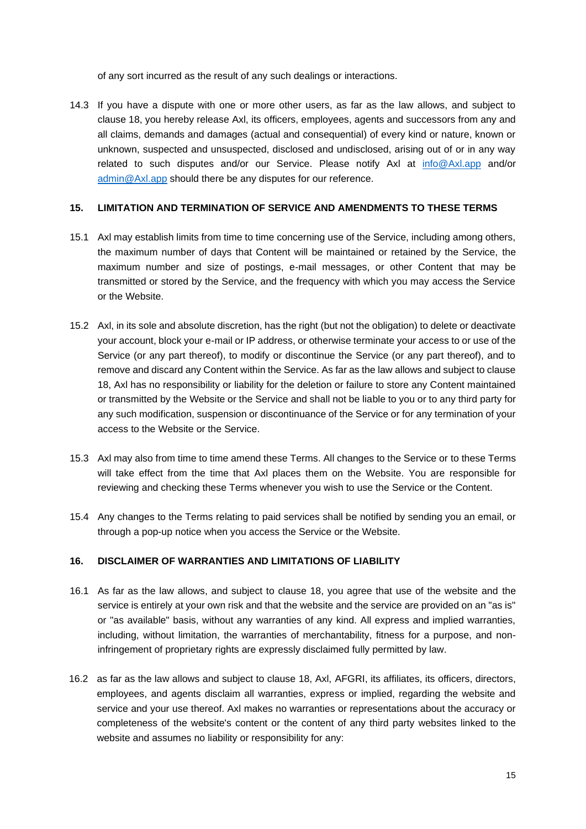of any sort incurred as the result of any such dealings or interactions.

14.3 If you have a dispute with one or more other users, as far as the law allows, and subject to clause 18, you hereby release Axl, its officers, employees, agents and successors from any and all claims, demands and damages (actual and consequential) of every kind or nature, known or unknown, suspected and unsuspected, disclosed and undisclosed, arising out of or in any way related to such disputes and/or our Service. Please notify Axl at info@Axl.app and/or [admin@Axl.app](mailto:admin@axl.app) should there be any disputes for our reference.

#### **15. LIMITATION AND TERMINATION OF SERVICE AND AMENDMENTS TO THESE TERMS**

- 15.1 Axl may establish limits from time to time concerning use of the Service, including among others, the maximum number of days that Content will be maintained or retained by the Service, the maximum number and size of postings, e-mail messages, or other Content that may be transmitted or stored by the Service, and the frequency with which you may access the Service or the Website.
- 15.2 Axl, in its sole and absolute discretion, has the right (but not the obligation) to delete or deactivate your account, block your e-mail or IP address, or otherwise terminate your access to or use of the Service (or any part thereof), to modify or discontinue the Service (or any part thereof), and to remove and discard any Content within the Service. As far as the law allows and subject to clause 18, Axl has no responsibility or liability for the deletion or failure to store any Content maintained or transmitted by the Website or the Service and shall not be liable to you or to any third party for any such modification, suspension or discontinuance of the Service or for any termination of your access to the Website or the Service.
- 15.3 Axl may also from time to time amend these Terms. All changes to the Service or to these Terms will take effect from the time that Axl places them on the Website. You are responsible for reviewing and checking these Terms whenever you wish to use the Service or the Content.
- 15.4 Any changes to the Terms relating to paid services shall be notified by sending you an email, or through a pop-up notice when you access the Service or the Website.

#### **16. DISCLAIMER OF WARRANTIES AND LIMITATIONS OF LIABILITY**

- 16.1 As far as the law allows, and subject to clause 18, you agree that use of the website and the service is entirely at your own risk and that the website and the service are provided on an "as is" or "as available" basis, without any warranties of any kind. All express and implied warranties, including, without limitation, the warranties of merchantability, fitness for a purpose, and noninfringement of proprietary rights are expressly disclaimed fully permitted by law.
- 16.2 as far as the law allows and subject to clause 18, Axl, AFGRI, its affiliates, its officers, directors, employees, and agents disclaim all warranties, express or implied, regarding the website and service and your use thereof. Axl makes no warranties or representations about the accuracy or completeness of the website's content or the content of any third party websites linked to the website and assumes no liability or responsibility for any: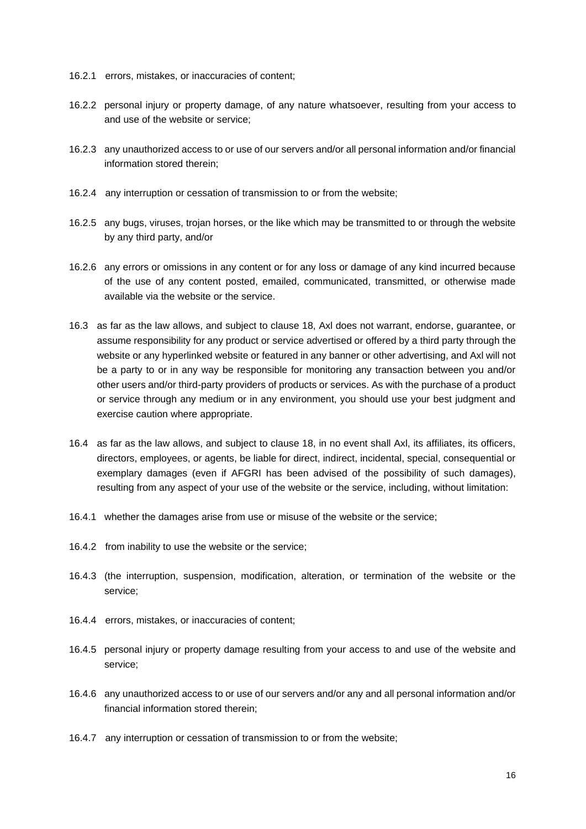- 16.2.1 errors, mistakes, or inaccuracies of content;
- 16.2.2 personal injury or property damage, of any nature whatsoever, resulting from your access to and use of the website or service;
- 16.2.3 any unauthorized access to or use of our servers and/or all personal information and/or financial information stored therein;
- 16.2.4 any interruption or cessation of transmission to or from the website;
- 16.2.5 any bugs, viruses, trojan horses, or the like which may be transmitted to or through the website by any third party, and/or
- 16.2.6 any errors or omissions in any content or for any loss or damage of any kind incurred because of the use of any content posted, emailed, communicated, transmitted, or otherwise made available via the website or the service.
- 16.3 as far as the law allows, and subject to clause 18, Axl does not warrant, endorse, guarantee, or assume responsibility for any product or service advertised or offered by a third party through the website or any hyperlinked website or featured in any banner or other advertising, and Axl will not be a party to or in any way be responsible for monitoring any transaction between you and/or other users and/or third-party providers of products or services. As with the purchase of a product or service through any medium or in any environment, you should use your best judgment and exercise caution where appropriate.
- 16.4 as far as the law allows, and subject to clause 18, in no event shall Axl, its affiliates, its officers, directors, employees, or agents, be liable for direct, indirect, incidental, special, consequential or exemplary damages (even if AFGRI has been advised of the possibility of such damages), resulting from any aspect of your use of the website or the service, including, without limitation:
- 16.4.1 whether the damages arise from use or misuse of the website or the service;
- 16.4.2 from inability to use the website or the service;
- 16.4.3 (the interruption, suspension, modification, alteration, or termination of the website or the service;
- 16.4.4 errors, mistakes, or inaccuracies of content;
- 16.4.5 personal injury or property damage resulting from your access to and use of the website and service;
- 16.4.6 any unauthorized access to or use of our servers and/or any and all personal information and/or financial information stored therein;
- 16.4.7 any interruption or cessation of transmission to or from the website;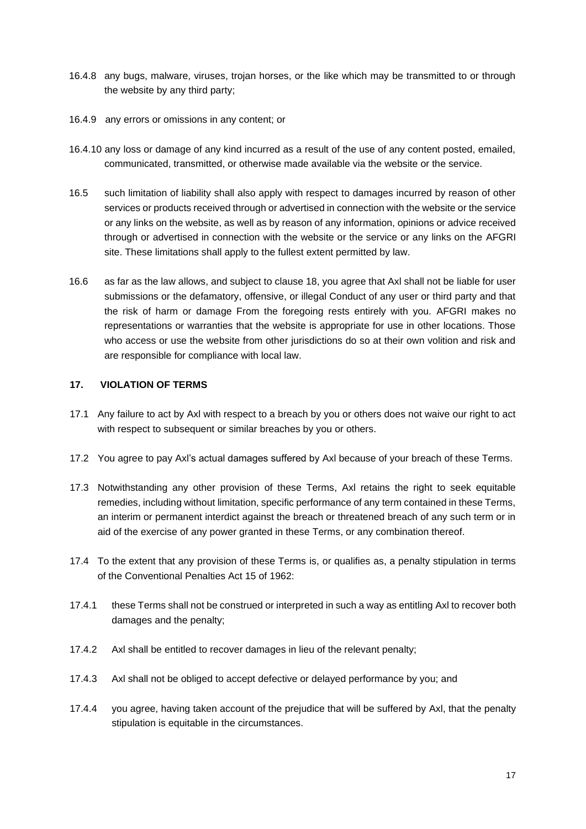- 16.4.8 any bugs, malware, viruses, trojan horses, or the like which may be transmitted to or through the website by any third party;
- 16.4.9 any errors or omissions in any content; or
- 16.4.10 any loss or damage of any kind incurred as a result of the use of any content posted, emailed, communicated, transmitted, or otherwise made available via the website or the service.
- 16.5 such limitation of liability shall also apply with respect to damages incurred by reason of other services or products received through or advertised in connection with the website or the service or any links on the website, as well as by reason of any information, opinions or advice received through or advertised in connection with the website or the service or any links on the AFGRI site. These limitations shall apply to the fullest extent permitted by law.
- 16.6 as far as the law allows, and subject to clause 18, you agree that Axl shall not be liable for user submissions or the defamatory, offensive, or illegal Conduct of any user or third party and that the risk of harm or damage From the foregoing rests entirely with you. AFGRI makes no representations or warranties that the website is appropriate for use in other locations. Those who access or use the website from other jurisdictions do so at their own volition and risk and are responsible for compliance with local law.

#### **17. VIOLATION OF TERMS**

- 17.1 Any failure to act by Axl with respect to a breach by you or others does not waive our right to act with respect to subsequent or similar breaches by you or others.
- 17.2 You agree to pay Axl's actual damages suffered by Axl because of your breach of these Terms.
- 17.3 Notwithstanding any other provision of these Terms, Axl retains the right to seek equitable remedies, including without limitation, specific performance of any term contained in these Terms, an interim or permanent interdict against the breach or threatened breach of any such term or in aid of the exercise of any power granted in these Terms, or any combination thereof.
- 17.4 To the extent that any provision of these Terms is, or qualifies as, a penalty stipulation in terms of the Conventional Penalties Act 15 of 1962:
- 17.4.1 these Terms shall not be construed or interpreted in such a way as entitling Axl to recover both damages and the penalty;
- 17.4.2 Axl shall be entitled to recover damages in lieu of the relevant penalty;
- 17.4.3 Axl shall not be obliged to accept defective or delayed performance by you; and
- 17.4.4 you agree, having taken account of the prejudice that will be suffered by Axl, that the penalty stipulation is equitable in the circumstances.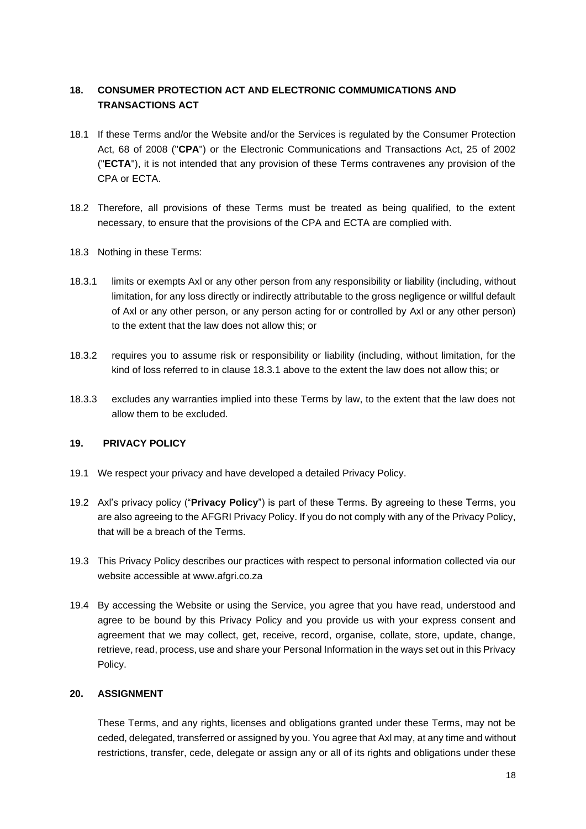# **18. CONSUMER PROTECTION ACT AND ELECTRONIC COMMUMICATIONS AND TRANSACTIONS ACT**

- 18.1 If these Terms and/or the Website and/or the Services is regulated by the Consumer Protection Act, 68 of 2008 ("**CPA**") or the Electronic Communications and Transactions Act, 25 of 2002 ("**ECTA**"), it is not intended that any provision of these Terms contravenes any provision of the CPA or ECTA.
- 18.2 Therefore, all provisions of these Terms must be treated as being qualified, to the extent necessary, to ensure that the provisions of the CPA and ECTA are complied with.
- 18.3 Nothing in these Terms:
- 18.3.1 limits or exempts Axl or any other person from any responsibility or liability (including, without limitation, for any loss directly or indirectly attributable to the gross negligence or willful default of Axl or any other person, or any person acting for or controlled by Axl or any other person) to the extent that the law does not allow this; or
- 18.3.2 requires you to assume risk or responsibility or liability (including, without limitation, for the kind of loss referred to in clause 18.3.1 above to the extent the law does not allow this; or
- 18.3.3 excludes any warranties implied into these Terms by law, to the extent that the law does not allow them to be excluded.

# **19. PRIVACY POLICY**

- 19.1 We respect your privacy and have developed a detailed Privacy Policy.
- 19.2 Axl's privacy policy ("**Privacy Policy**") is part of these Terms. By agreeing to these Terms, you are also agreeing to the AFGRI Privacy Policy. If you do not comply with any of the Privacy Policy, that will be a breach of the Terms.
- 19.3 This Privacy Policy describes our practices with respect to personal information collected via our website accessible at www.afgri.co.za
- 19.4 By accessing the Website or using the Service, you agree that you have read, understood and agree to be bound by this Privacy Policy and you provide us with your express consent and agreement that we may collect, get, receive, record, organise, collate, store, update, change, retrieve, read, process, use and share your Personal Information in the ways set out in this Privacy Policy.

#### **20. ASSIGNMENT**

These Terms, and any rights, licenses and obligations granted under these Terms, may not be ceded, delegated, transferred or assigned by you. You agree that Axl may, at any time and without restrictions, transfer, cede, delegate or assign any or all of its rights and obligations under these